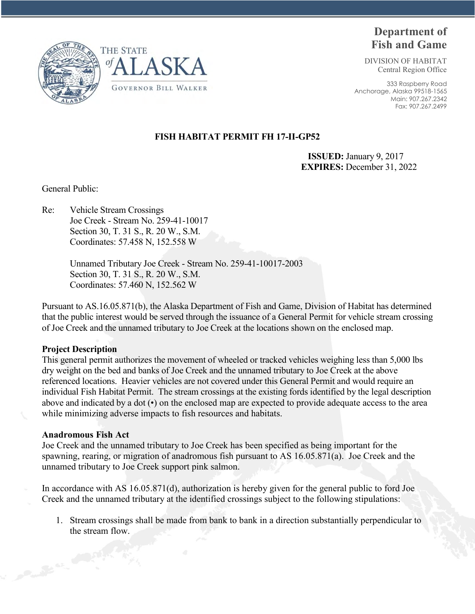



# **Department of Fish and Game**

DIVISION OF HABITAT Central Region Office

333 Raspberry Road Anchorage, Alaska 99518-1565 Main: 907.267.2342 Fax: 907.267.2499

## **FISH HABITAT PERMIT FH 17-II-GP52**

 **ISSUED:** January 9, 2017 **EXPIRES:** December 31, 2022

General Public:

Re: Vehicle Stream Crossings Joe Creek - Stream No. 259-41-10017 Section 30, T. 31 S., R. 20 W., S.M. Coordinates: 57.458 N, 152.558 W

> Unnamed Tributary Joe Creek - Stream No. 259-41-10017-2003 Section 30, T. 31 S., R. 20 W., S.M. Coordinates: 57.460 N, 152.562 W

Pursuant to AS.16.05.871(b), the Alaska Department of Fish and Game, Division of Habitat has determined that the public interest would be served through the issuance of a General Permit for vehicle stream crossing of Joe Creek and the unnamed tributary to Joe Creek at the locations shown on the enclosed map.

### **Project Description**

This general permit authorizes the movement of wheeled or tracked vehicles weighing less than 5,000 lbs dry weight on the bed and banks of Joe Creek and the unnamed tributary to Joe Creek at the above referenced locations. Heavier vehicles are not covered under this General Permit and would require an individual Fish Habitat Permit. The stream crossings at the existing fords identified by the legal description above and indicated by a dot (•) on the enclosed map are expected to provide adequate access to the area while minimizing adverse impacts to fish resources and habitats.

### **Anadromous Fish Act**

Joe Creek and the unnamed tributary to Joe Creek has been specified as being important for the spawning, rearing, or migration of anadromous fish pursuant to AS 16.05.871(a). Joe Creek and the unnamed tributary to Joe Creek support pink salmon.

In accordance with AS 16.05.871(d), authorization is hereby given for the general public to ford Joe Creek and the unnamed tributary at the identified crossings subject to the following stipulations:

1. Stream crossings shall be made from bank to bank in a direction substantially perpendicular to the stream flow.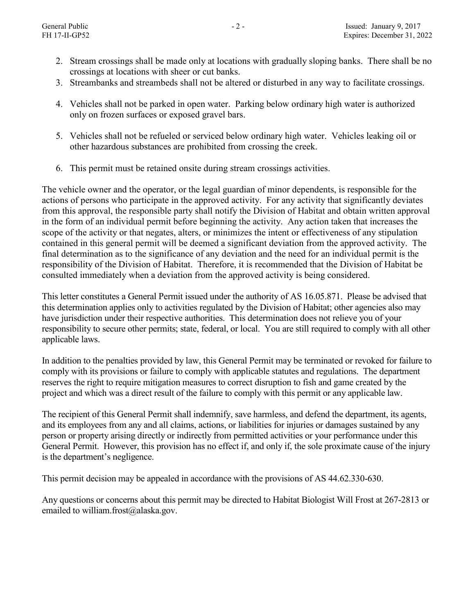- 2. Stream crossings shall be made only at locations with gradually sloping banks. There shall be no crossings at locations with sheer or cut banks.
- 3. Streambanks and streambeds shall not be altered or disturbed in any way to facilitate crossings.
- 4. Vehicles shall not be parked in open water. Parking below ordinary high water is authorized only on frozen surfaces or exposed gravel bars.
- 5. Vehicles shall not be refueled or serviced below ordinary high water. Vehicles leaking oil or other hazardous substances are prohibited from crossing the creek.
- 6. This permit must be retained onsite during stream crossings activities.

The vehicle owner and the operator, or the legal guardian of minor dependents, is responsible for the actions of persons who participate in the approved activity. For any activity that significantly deviates from this approval, the responsible party shall notify the Division of Habitat and obtain written approval in the form of an individual permit before beginning the activity. Any action taken that increases the scope of the activity or that negates, alters, or minimizes the intent or effectiveness of any stipulation contained in this general permit will be deemed a significant deviation from the approved activity. The final determination as to the significance of any deviation and the need for an individual permit is the responsibility of the Division of Habitat. Therefore, it is recommended that the Division of Habitat be consulted immediately when a deviation from the approved activity is being considered.

This letter constitutes a General Permit issued under the authority of AS 16.05.871. Please be advised that this determination applies only to activities regulated by the Division of Habitat; other agencies also may have jurisdiction under their respective authorities. This determination does not relieve you of your responsibility to secure other permits; state, federal, or local. You are still required to comply with all other applicable laws.

In addition to the penalties provided by law, this General Permit may be terminated or revoked for failure to comply with its provisions or failure to comply with applicable statutes and regulations. The department reserves the right to require mitigation measures to correct disruption to fish and game created by the project and which was a direct result of the failure to comply with this permit or any applicable law.

The recipient of this General Permit shall indemnify, save harmless, and defend the department, its agents, and its employees from any and all claims, actions, or liabilities for injuries or damages sustained by any person or property arising directly or indirectly from permitted activities or your performance under this General Permit. However, this provision has no effect if, and only if, the sole proximate cause of the injury is the department's negligence.

This permit decision may be appealed in accordance with the provisions of AS 44.62.330-630.

Any questions or concerns about this permit may be directed to Habitat Biologist Will Frost at 267-2813 or emailed to william.frost@alaska.gov.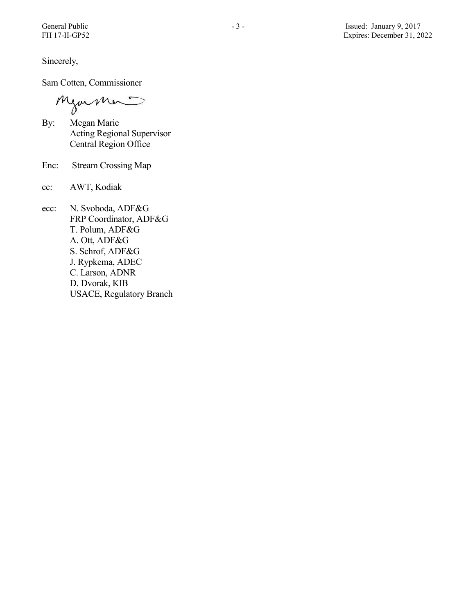Sincerely,

Sam Cotten, Commissioner

Mjormer

- By: Megan Marie Acting Regional Supervisor Central Region Office
- Enc: Stream Crossing Map
- cc: AWT, Kodiak
- ecc: N. Svoboda, ADF&G FRP Coordinator, ADF&G T. Polum, ADF&G A. Ott, ADF&G S. Schrof, ADF&G J. Rypkema, ADEC C. Larson, ADNR D. Dvorak, KIB USACE, Regulatory Branch